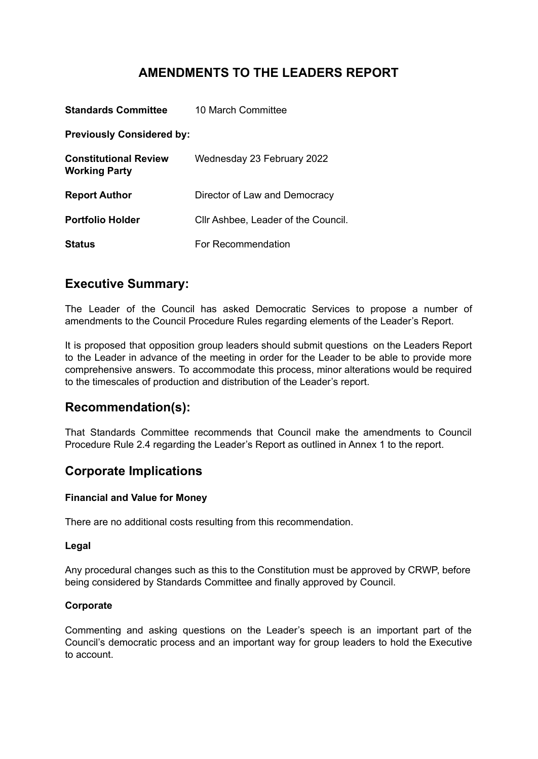# **AMENDMENTS TO THE LEADERS REPORT**

| <b>Standards Committee</b>                           | 10 March Committee                  |
|------------------------------------------------------|-------------------------------------|
| <b>Previously Considered by:</b>                     |                                     |
| <b>Constitutional Review</b><br><b>Working Party</b> | Wednesday 23 February 2022          |
| <b>Report Author</b>                                 | Director of Law and Democracy       |
| <b>Portfolio Holder</b>                              | Cllr Ashbee, Leader of the Council. |
| <b>Status</b>                                        | For Recommendation                  |

## **Executive Summary:**

The Leader of the Council has asked Democratic Services to propose a number of amendments to the Council Procedure Rules regarding elements of the Leader's Report.

It is proposed that opposition group leaders should submit questions on the Leaders Report to the Leader in advance of the meeting in order for the Leader to be able to provide more comprehensive answers. To accommodate this process, minor alterations would be required to the timescales of production and distribution of the Leader's report.

# **Recommendation(s):**

That Standards Committee recommends that Council make the amendments to Council Procedure Rule 2.4 regarding the Leader's Report as outlined in Annex 1 to the report.

# **Corporate Implications**

### **Financial and Value for Money**

There are no additional costs resulting from this recommendation.

### **Legal**

Any procedural changes such as this to the Constitution must be approved by CRWP, before being considered by Standards Committee and finally approved by Council.

### **Corporate**

Commenting and asking questions on the Leader's speech is an important part of the Council's democratic process and an important way for group leaders to hold the Executive to account.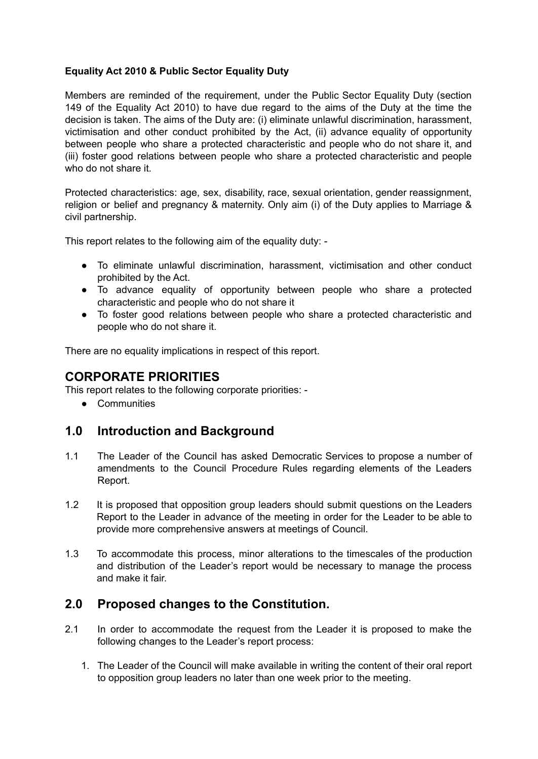### **Equality Act 2010 & Public Sector Equality Duty**

Members are reminded of the requirement, under the Public Sector Equality Duty (section 149 of the Equality Act 2010) to have due regard to the aims of the Duty at the time the decision is taken. The aims of the Duty are: (i) eliminate unlawful discrimination, harassment, victimisation and other conduct prohibited by the Act, (ii) advance equality of opportunity between people who share a protected characteristic and people who do not share it, and (iii) foster good relations between people who share a protected characteristic and people who do not share it.

Protected characteristics: age, sex, disability, race, sexual orientation, gender reassignment, religion or belief and pregnancy & maternity. Only aim (i) of the Duty applies to Marriage & civil partnership.

This report relates to the following aim of the equality duty: -

- To eliminate unlawful discrimination, harassment, victimisation and other conduct prohibited by the Act.
- To advance equality of opportunity between people who share a protected characteristic and people who do not share it
- To foster good relations between people who share a protected characteristic and people who do not share it.

There are no equality implications in respect of this report.

## **CORPORATE PRIORITIES**

This report relates to the following corporate priorities: -

● Communities

### **1.0 Introduction and Background**

- 1.1 The Leader of the Council has asked Democratic Services to propose a number of amendments to the Council Procedure Rules regarding elements of the Leaders Report.
- 1.2 It is proposed that opposition group leaders should submit questions on the Leaders Report to the Leader in advance of the meeting in order for the Leader to be able to provide more comprehensive answers at meetings of Council.
- 1.3 To accommodate this process, minor alterations to the timescales of the production and distribution of the Leader's report would be necessary to manage the process and make it fair.

### **2.0 Proposed changes to the Constitution.**

- 2.1 In order to accommodate the request from the Leader it is proposed to make the following changes to the Leader's report process:
	- 1. The Leader of the Council will make available in writing the content of their oral report to opposition group leaders no later than one week prior to the meeting.